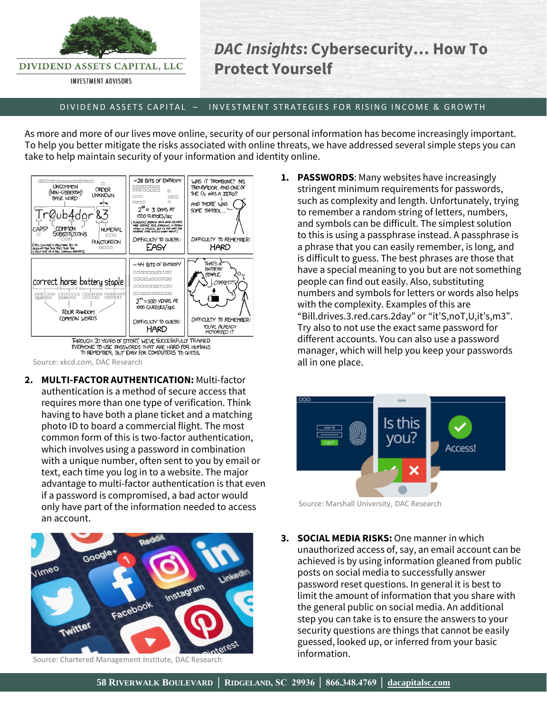

DIVIDEND ASSETS CAPITAL, LLC

**INVESTMENT ADVISORS** 

## *DAC Insights***: Cybersecurity… How To Protect Yourself**

## D IV IDEND ASSETS CAPITAL – INVESTMENT STRATEGIES FOR RISING INCOME & GROWTH

As more and more of our lives move online, security of our personal information has become increasingly important. To help you better mitigate the risks associated with online threats, we have addressed several simple steps you can take to help maintain security of your information and identity online.



Source: xkcd.com, DAC Research

**2. MULTI-FACTOR AUTHENTICATION:** Multi-factor authentication is a method of secure access that requires more than one type of verification. Think having to have both a plane ticket and a matching photo ID to board a commercial flight. The most common form of this is two-factor authentication, which involves using a password in combination with a unique number, often sent to you by email or text, each time you log in to a website. The major advantage to multi-factor authentication is that even if a password is compromised, a bad actor would only have part of the information needed to access an account.



Source: Chartered Management Institute, DAC Research

**1. PASSWORDS**: Many websites have increasingly stringent minimum requirements for passwords, such as complexity and length. Unfortunately, trying to remember a random string of letters, numbers, and symbols can be difficult. The simplest solution to this is using a passphrase instead. A passphrase is a phrase that you can easily remember, is long, and is difficult to guess. The best phrases are those that have a special meaning to you but are not something people can find out easily. Also, substituting numbers and symbols for letters or words also helps with the complexity. Examples of this are "Bill.drives.3.red.cars.2day" or "it'S,noT,U,it's,m3". Try also to not use the exact same password for different accounts. You can also use a password manager, which will help you keep your passwords all in one place.



Source: Marshall University, DAC Research

**3. SOCIAL MEDIA RISKS:** One manner in which unauthorized access of, say, an email account can be achieved is by using information gleaned from public posts on social media to successfully answer password reset questions. In general it is best to limit the amount of information that you share with the general public on social media. An additional step you can take is to ensure the answers to your security questions are things that cannot be easily guessed, looked up, or inferred from your basic information.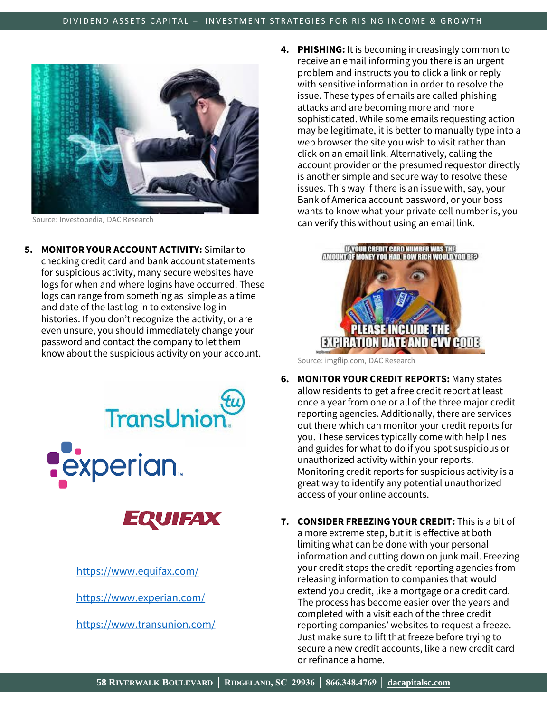

Source: Investopedia, DAC Research

**5. MONITOR YOUR ACCOUNT ACTIVITY:** Similar to checking credit card and bank account statements for suspicious activity, many secure websites have logs for when and where logins have occurred. These logs can range from something as simple as a time and date of the last log in to extensive log in histories. If you don't recognize the activity, or are even unsure, you should immediately change your password and contact the company to let them know about the suspicious activity on your account.



<https://www.transunion.com/>

**4. PHISHING:** It is becoming increasingly common to receive an email informing you there is an urgent problem and instructs you to click a link or reply with sensitive information in order to resolve the issue. These types of emails are called phishing attacks and are becoming more and more sophisticated. While some emails requesting action may be legitimate, it is better to manually type into a web browser the site you wish to visit rather than click on an email link. Alternatively, calling the account provider or the presumed requestor directly is another simple and secure way to resolve these issues. This way if there is an issue with, say, your Bank of America account password, or your boss wants to know what your private cell number is, you can verify this without using an email link.



Source: imgflip.com, DAC Research

- **6. MONITOR YOUR CREDIT REPORTS:** Many states allow residents to get a free credit report at least once a year from one or all of the three major credit reporting agencies. Additionally, there are services out there which can monitor your credit reports for you. These services typically come with help lines and guides for what to do if you spot suspicious or unauthorized activity within your reports. Monitoring credit reports for suspicious activity is a great way to identify any potential unauthorized access of your online accounts.
- **7. CONSIDER FREEZING YOUR CREDIT:** This is a bit of a more extreme step, but it is effective at both limiting what can be done with your personal information and cutting down on junk mail. Freezing your credit stops the credit reporting agencies from releasing information to companies that would extend you credit, like a mortgage or a credit card. The process has become easier over the years and completed with a visit each of the three credit reporting companies' websites to request a freeze. Just make sure to lift that freeze before trying to secure a new credit accounts, like a new credit card or refinance a home.